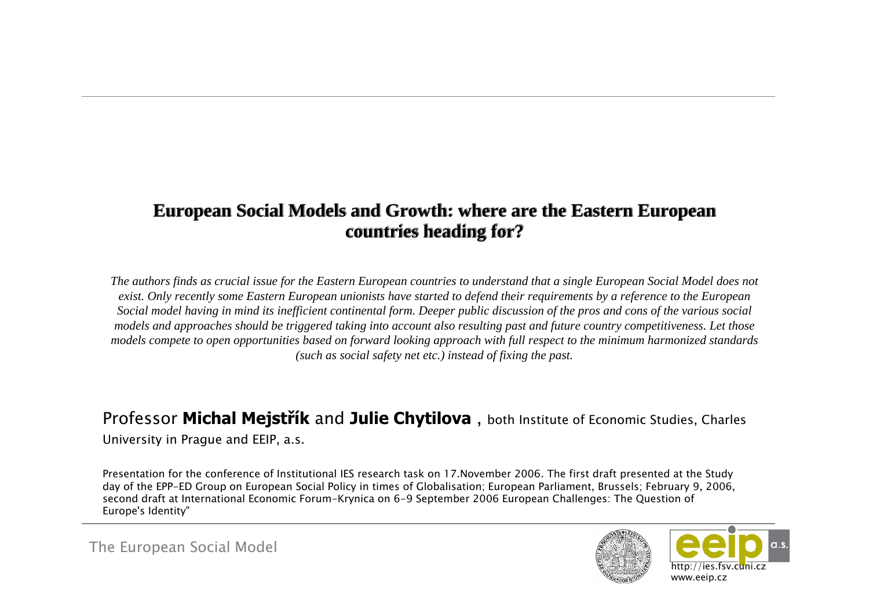### European Social Models and Growth: where are the Eastern European **countries heading for? countries heading for?**

*The authors finds as crucial issue for the Eastern European countries to understand that a single European Social Model does not exist. Only recently some Eastern European unionists have started to defend their requirements by a reference to the European Social model having in mind its inefficient continental form. Deeper public discussion of the pros and cons of the various social models and approaches should be triggered taking into account also resulting past and future country competitiveness. Let those models compete to open opportunities based on forward looking approach with full respect to the minimum harmonized standards (such as social safety net etc.) instead of fixing the past.*

Professor **Michal Mejstřík** and **Julie Chytilova** , both Institute of Economic Studies, Charles University in Prague and EEIP, a.s.

Presentation for the conference of Institutional IES research task on 17.November 2006. The first draft presented at the Study day of the EPP-ED Group on European Social Policy in times of Globalisation; European Parliament, Brussels; February 9, 2006, second draft at International Economic Forum-Krynica on 6-9 September 2006 European Challenges: The Question of Europe's Identity"

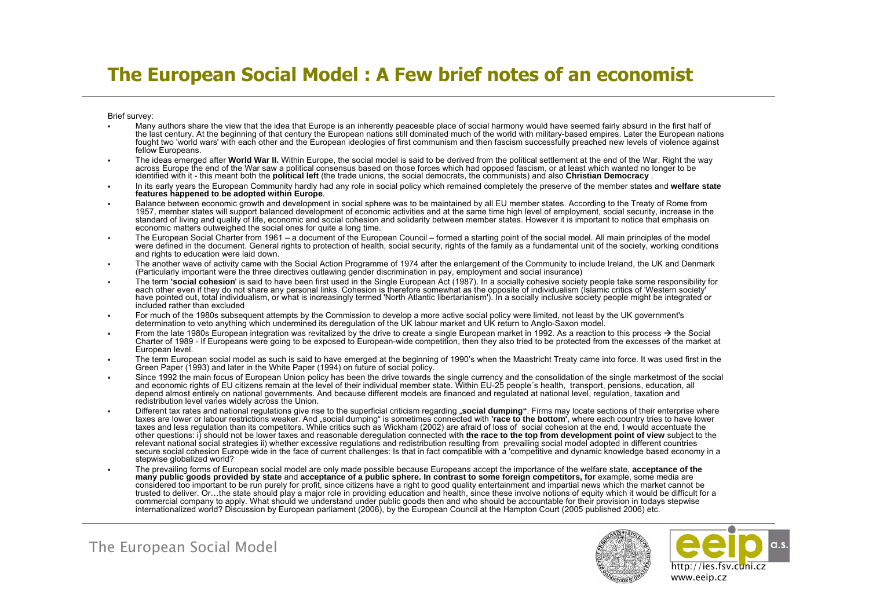## **The Europea n Social Model : A Few brief notes of an economist**

Brief survey:

- Many authors share the view that the idea that Europe is an inherently peaceable place of social harmony would have see med fairly absurd in the first half of the last century. At the beginning of that century the European nations still dominated much of the world with military-based empires. Later the European nations fought two 'world wars' with each other and the European ideologies of first communism and then fascism successfully preached new levels of violence against fellow Europeans.
- The ideas emerged after **World War II.** Within Europe, the social model is said to be derived from the political settlement at the end of the War. Right the way across Europe the end of the War saw a political consensus based on those forces which had opposed fascism, or at least which wanted no longer to be identified with it - this meant both the **political left** (the trade unions, the social democrats, the communists) and also **Christian Democracy** .
- ٠ In its early years the European Community hardly had any role in social policy which remained completely the preserve of the member states and welfare state **features happened to be adopted within Europe**.
- ٠ Balance between economic growth and development in social sphere was to be maintained by all EU member states. According to the Treaty of Rome from 1957, member states will support balanced development of economic activities and at the same time high level of employment, social security, increase in the standard of living and quality of life, economic and social cohesion and solidarity between member states. However it is important to notice that emphasis on economic matters outweighed the social ones for quite a long time.
- ٠ The European Social Charter from 1961 – a document of the European Council – formed a starting point of the social model. All main principles of the model בWere defined in the document. General rights to protection of heal and rights to education were laid down.
- Intermator of activity came with the Social Action Programme of 1974 after the enlargement of the Comunity of the Comunity and Multiple and Theorem and Theorem and Theorem and Theorem Theorem and Theorem Theorem Theorem Th The another wave of activity came with the Social Action Programme of 1974 after the enlargement of the Community to include Ireland, the UK and Denmark<br>(Particularly important were the three directives outlawing gender di
- The term **'social cohesion**' is said to have been first used in the Single European Act (1987). In a socially cohesive society people take some responsibility for each other even if they do not share any personal links. Cohesion is therefore somewhat as the opposite of individualism (Islamic critics of 'Western society' have pointed out, total individualism, or what is increasingly termed 'North Atlantic libertarianism'). In a socially inclusive society people might be integrated or included rather than excluded
- For much of the 1980s subsequent atte mpts by the Commission to develop a more active social policy were limited, not least by the U K government's determination to veto anything which undermined its deregulation of the U K labour market and UK return to Anglo-Saxon model.
- From the late 1980s European integration was revitalized by the drive to create a single European market in 1992. As a reaction to this process → the Social Charter of 1989 - If Europeans were going to be exposed to European-wide competition, then they also tried to be protected from the excesses of the market at European level.
- ٠ The term European social model as such is said to have emerged at the beginning of 1990's when the Maastricht Treaty came into force. It was used first in the Green Paper (1993) and later in the White Paper (1994) on future of social policy.
- Since 1992 the main focus of European Union policy has been the drive towards the single currency and the consolidation of the single marketmost of the social<br>and economic rights of EU citizens remain at the level of their depend almost entirely on national governments. And because different models are financed and regulated at national level, regulation, taxation and<br>redistribution level varies widelv across the Union. redistribution level varies widely across the Union.
- ٠ Different tax rates and national regulations give rise to the superficial criticism regarding "**social dumping"**. Firms may locate sections of their enterprise where taxes are lower or labour restrictions weaker. And "social dumping" is sometimes connected with **'race to the bottom'**, where each country tries to have lower taxes and less regulation than its competitors. While critics such as Wickham (2002) are afraid of loss of social cohesion at the end, I would accentuate the<br>other questions: i) should not be lower taxes and reasonable der relevant national social strategies ii) whether excessive regulations and redistribution resulting from prevailing social model adopted in different countries secure social cohesion Europe wide in the face of current challenges: Is that in fact co mpatible with a 'competitive and dyna mic knowledge based economy in a stepwise globalized world?
- ٠ The prevailing for ms ofThe prevailing forms of European social model are only made possible because Europeans accept the importance of the welfare state, **acceptance of the**<br>**many public goods provided by state** and **acceptance of a public spher** considered too important to be run purely for profit, since citizens have a right to good quality entertainment and impartial news which the market cannot be considered too important to be run purely for profit, since citizens have a right to good quality entertainment and impartial news which the market cannot be<br>trusted to deliver. Or…the state should play a major role in pro commercial company to apply. What should we understand under public goods then and who should be accountable for their provision in todays stepwise internationalized world? Discussion by European parliament (2006), by the European Council at the Hampton Court (2005 published 2006) etc.

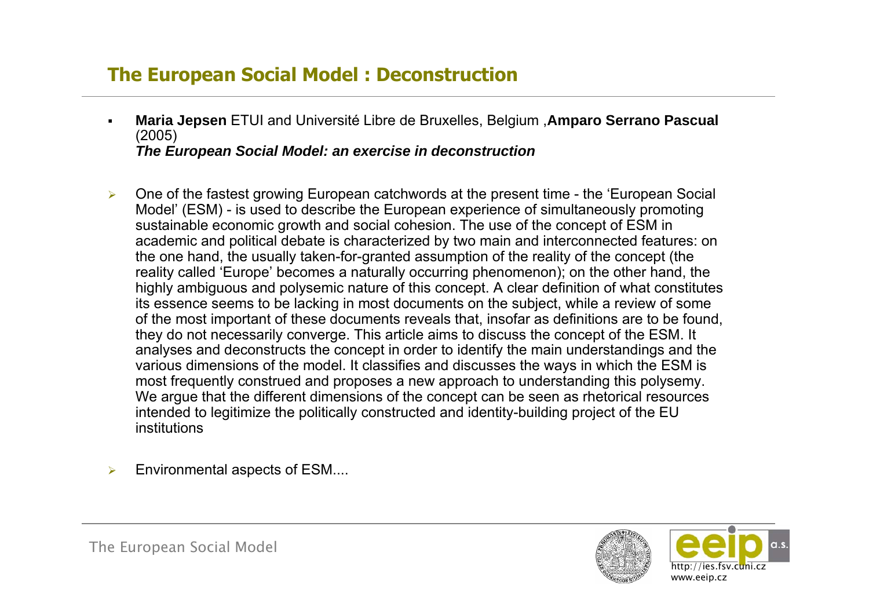## **The European Social Model : Deconstruction**

- $\blacksquare$  **Maria Jepsen** ETUI and Université Libre de Bruxelles, Belgium ,**Amparo Serrano Pascual** (2005) *The European Social Model: an exercise in deconstruction*
- $\blacktriangleright$  One of the fastest growing European catchwords at the present time - the 'European Social Model' (ESM) - is used to describe the European experience of simultaneously promoting sustainable economic growth and social cohesion. The use of the concept of ESM in academic and political debate is characterized by two main and interconnected features: on the one hand, the usually taken-for-granted assumption of the reality of the concept (the reality called 'Europe' becomes a naturally occurring phenomenon); on the other hand, the highly ambiguous and polysemic nature of this concept. A clear definition of what constitutes its essence seems to be lacking in most documents on the subject, while a review of some of the most important of these documents reveals that, insofar as definitions are to be found, they do not necessarily converge. This article aims to discuss the concept of the ESM. It analyses and deconstructs the concept in order to identify the main understandings and the various dimensions of the model. It classifies and discusses the ways in which the ESM is most frequently construed and proposes a new approach to understanding this polysemy. We argue that the different dimensions of the concept can be seen as rhetorical resources intended to legitimize the politically constructed and identity-building project of the EU institutions
- ¾Environmental aspects of ESM....

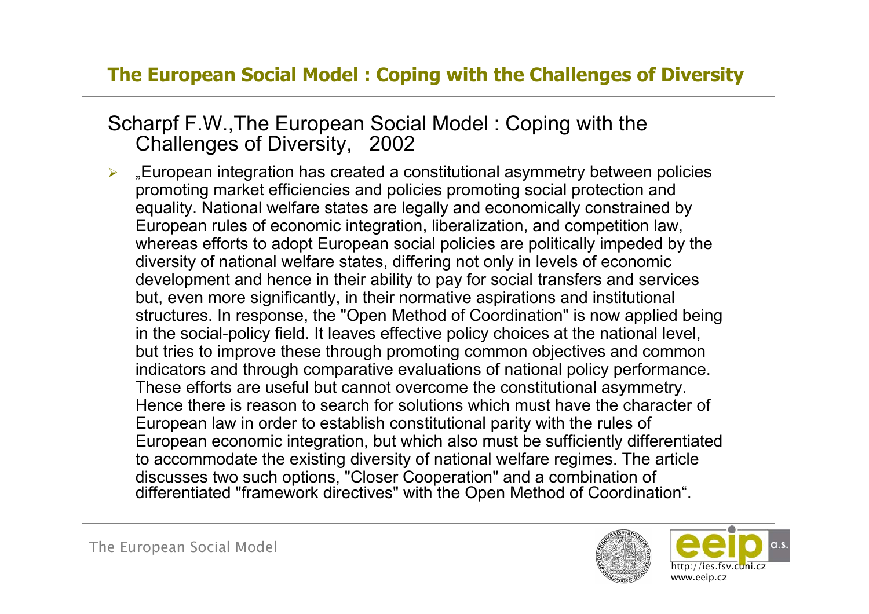## **The European Social Model : Coping with the Challenges of Diversity**

## Scharpf F.W.,The European Social Model : Coping with the Challenges of Diversity, 2002

 $\blacktriangleright$  "European integration has created a constitutional asymmetry between policies promoting market efficiencies and policies promoting social protection and equality. National welfare states are legally and economically constrained by European rules of economic integration, liberalization, and competition law, whereas efforts to adopt European social policies are politically impeded by the diversity of national welfare states, differing not only in levels of economic development and hence in their ability to pay for social transfers and services but, even more significantly, in their normative aspirations and institutional structures. In response, the "Open Method of Coordination" is now applied being in the social-policy field. It leaves effective policy choices at the national level, but tries to improve these through promoting common objectives and common indicators and through comparative evaluations of national policy performance. These efforts are useful but cannot overcome the constitutional asymmetry. Hence there is reason to search for solutions which must have the character of European law in order to establish constitutional parity with the rules of European economic integration, but which also must be sufficiently differentiated to accommodate the existing diversity of national welfare regimes. The article discusses two such options, "Closer Cooperation" and a combination of differentiated "framework directives" with the Open Method of Coordination".



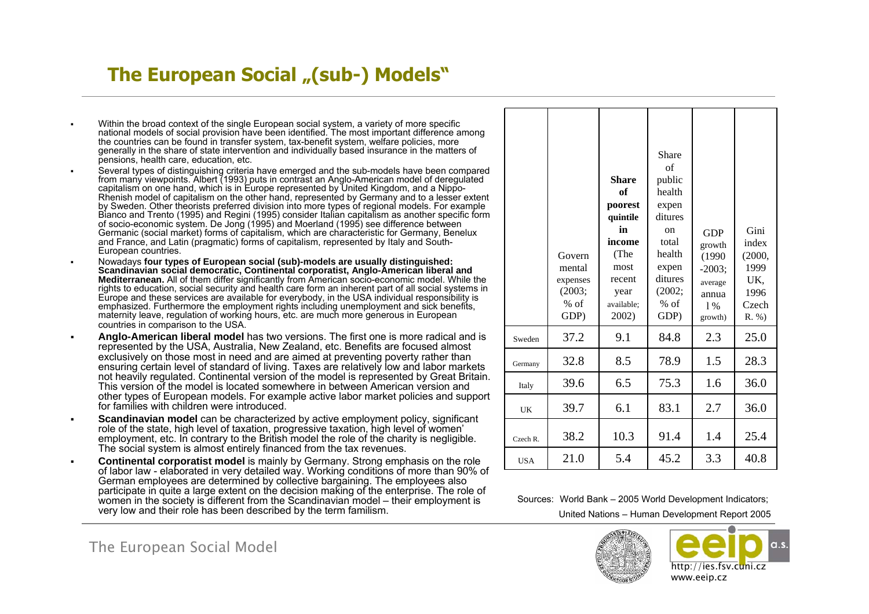## **The Europea n Social "(sub-) Models"**

 Within the broad context of the single European social system, a variety of more specific national models of social provision have been identified. The most important difference a mong the countries can be found in transfer syste m, tax-benefit system, welfare policies, more generally in the share of state intervention and individually based insurance in the matters of pensions, health care, education, etc.

 Several types of distinguishing criteria have emerged and the sub-models have been compared from many viewpoints. Albert (1993) puts in contrast an Anglo-American model of deregulated capitalism on one hand, which is in Europe represented by United Kingdom, and a Nippo-Rhenish model of capitalism on the other hand, represented by Germany and to a lesser extent Rhenish model of capitalism on the other hand, represented by Germany and to a lesser extent<br>by Sweden. Other theorists preferred division into more types of regional models. For example<br>Bianco and Trento (1995) and Regini of socio-economic system. De Jong (1995) and Moerland (1995) see difference bet ween Germanic (social market) forms of capitalism, which are characteristic for Germany, Benelux and France, and Latin (pragmatic) forms of capitalism, represented by Italy and South-European countries.

 No wadays **four types of European s ocial (sub)-models are usually distinguished: Scandinavian social democratic, Continental corp oratist, Anglo-A merican liberal and Mediterranean.** All of them differ significantly from American socio-economic model. While the rights to education, social security and health care form an inherent part of all social systems in Europe and these services are available for everybody, in the USA individual responsibility is emphasized. Furthermore the employment rights including unemployment and sick benefits, maternity leave, regulation of working hours, etc. are much more generous in European countries in comparison to the USA.

- **Anglo-American liberal model** has two versions. The first one is more radical and is represented by the USA, Australia, New Z ealand, etc. Benefits are focused almost exclusively on those most in need and are aimed at preventing poverty rather than ensuring certain level of standard of living. Taxes are relatively low and labor markets not heavily regulated. Continental version of the model is r epresented by Great Britain. This version of the model is located somewhere in between American version and other types of European models. For e xample active labor market policies and support for families with children wer e introduced.
- **Scandinavian model** can be characterized by active e mplo **Scandinavian model** can be characterized by active employment policy, significant<br>role of the state, high level of taxation, progressive taxation, high level of women' e mplo yment, etc. In contrary to the British model the role of the charity is negligible. The social system is almost entirely financed from the tax revenues.
- **Continental corporatist model** is mainly by Germany. Strong emphasis on the role of labor law - elaborated in very detailed way. Working conditions of more than 90% of German employees are determined by collective bargaining. The employees also participate in quite a large extent on the decision making of the enterprise. The role of women in the society is different from the Scandinavian model – their employment is ver y low and their role has been des cribed by the t erm familism.

|  |            | Govern<br>mental<br>expenses<br>(2003;<br>$%$ of<br>GDP) | <b>Share</b><br>of<br>poorest<br>quintile<br>in<br>income<br>(The<br>most<br>recent<br>year<br>available;<br>2002) | Share<br>$\sigma$ f<br>public<br>health<br>expen<br>ditures<br><sub>on</sub><br>total<br>health<br>expen<br>ditures<br>(2002;<br>$%$ of<br>GDP) | <b>GDP</b><br>growth<br>(1990)<br>$-2003;$<br>average<br>annua<br>$1\%$<br>growth) | Gini<br>index<br>(2000,<br>1999<br>UK,<br>1996<br>Czech<br>$R. \%$ |
|--|------------|----------------------------------------------------------|--------------------------------------------------------------------------------------------------------------------|-------------------------------------------------------------------------------------------------------------------------------------------------|------------------------------------------------------------------------------------|--------------------------------------------------------------------|
|  | Sweden     | 37.2                                                     | 9.1                                                                                                                | 84.8                                                                                                                                            | 2.3                                                                                | 25.0                                                               |
|  | Germany    | 32.8                                                     | 8.5                                                                                                                | 78.9                                                                                                                                            | 1.5                                                                                | 28.3                                                               |
|  | Italy      | 39.6                                                     | 6.5                                                                                                                | 75.3                                                                                                                                            | 1.6                                                                                | 36.0                                                               |
|  | UK         | 39.7                                                     | 6.1                                                                                                                | 83.1                                                                                                                                            | 2.7                                                                                | 36.0                                                               |
|  | Czech R.   | 38.2                                                     | 10.3                                                                                                               | 91.4                                                                                                                                            | 1.4                                                                                | 25.4                                                               |
|  | <b>USA</b> | 21.0                                                     | 5.4                                                                                                                | 45.2                                                                                                                                            | 3.3                                                                                | 40.8                                                               |

Sources: World Bank – 2005 World Development Indicators;

United Nations – Human Development Report 2005





 $\blacksquare$ 

 $\blacksquare$ 

 $\blacksquare$ 

 $\blacksquare$ 

г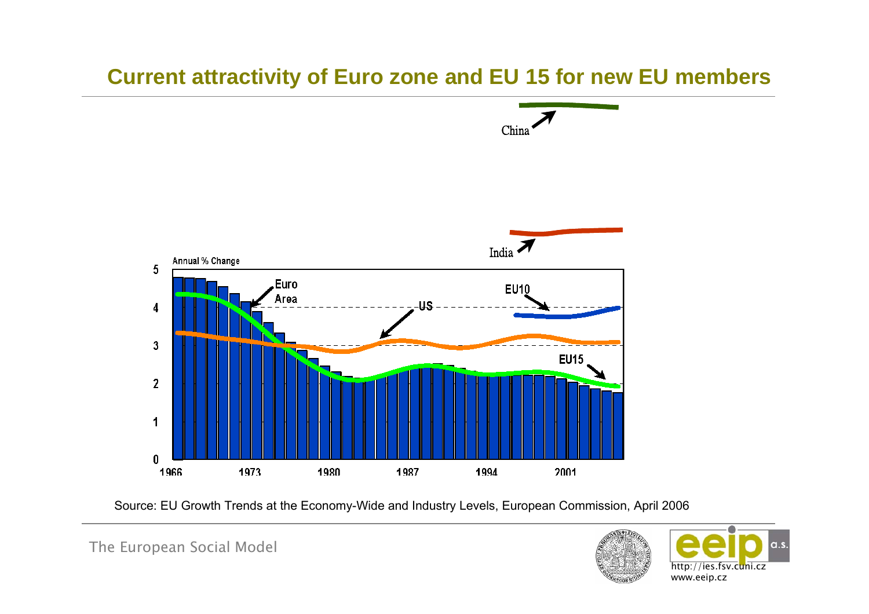## **Current attractivity of Euro zone and EU 15 for new EU members**



Source: EU Growth Trends at the Economy-Wide and Industry Levels, European Commission, April 2006

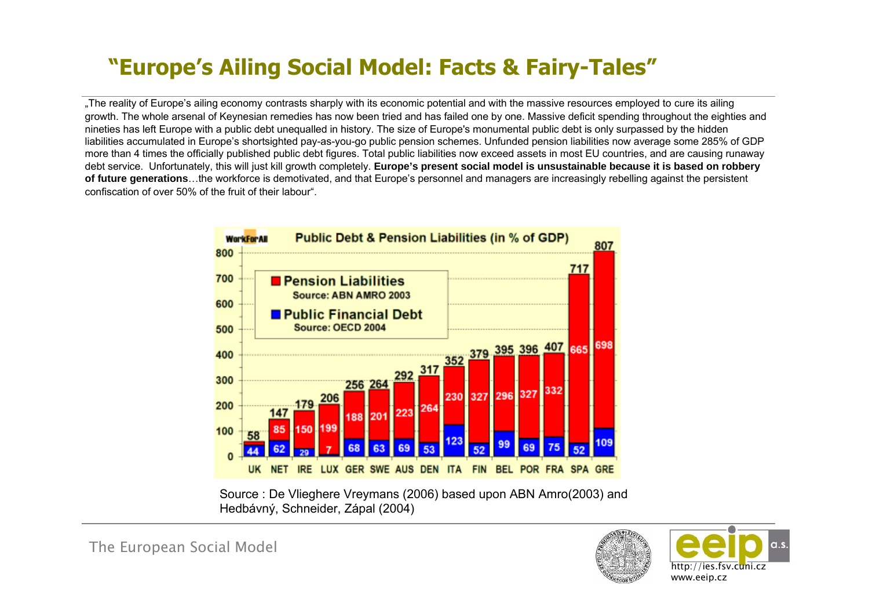# **"Europe's Ailing Social Model: Facts & Fairy-Tales"**

"The reality of Europe's ailing economy contrasts sharply with its economic potential and with the massive resources employed to cure its ailing growth. The whole arsenal of Keynesian remedies has now been tried and has failed one by one. Massive deficit spending throughout the eighties and nineties has left Europe with a public debt unequalled in history. The size of Europe's monumental public debt is only surpassed by the hidden liabilities accumulated in Europe's shortsighted pay-as-you-go public pension schemes. Unfunded pension liabilities now average some 285% of GDP more than 4 times the officially published public debt figures. Total public liabilities now exceed assets in most EU countries, and are causing runaway debt service. Unfortunately, this will just kill growth completely. **Europe's present social model is unsustainable because it is based on robbery of future generations**…the workforce is demotivated, and that Europe's personnel and managers are increasingly rebelling against the persistent confiscation of over 50% of the fruit of their labour".



Source : De Vlieghere Vreymans (2006) based upon ABN Amro(2003) and Hedbávný, Schneider, Zápal (2004)

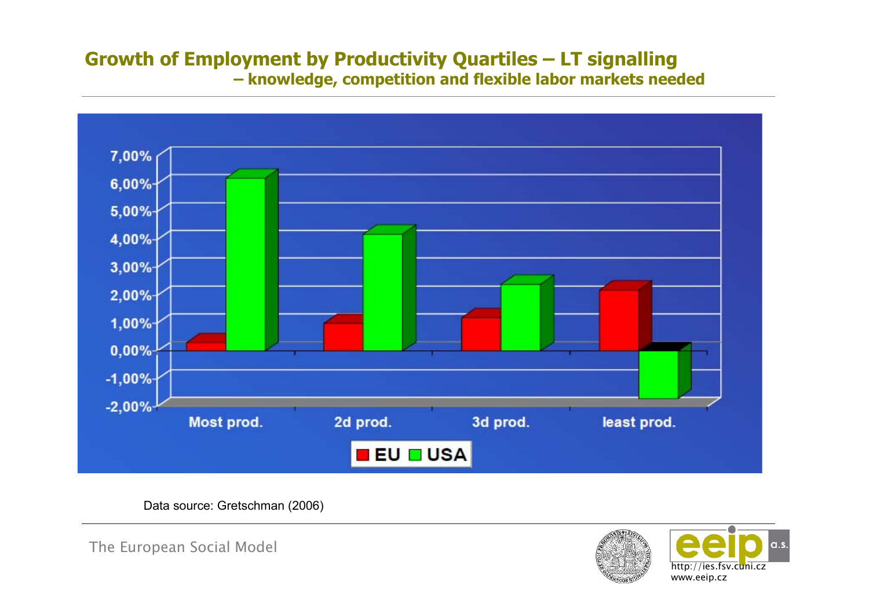### **Growth of Employment by Productivity Quartiles – LT signalling – knowledge, competition and flexible labor markets needed**



Data source: Gretschman (2006)

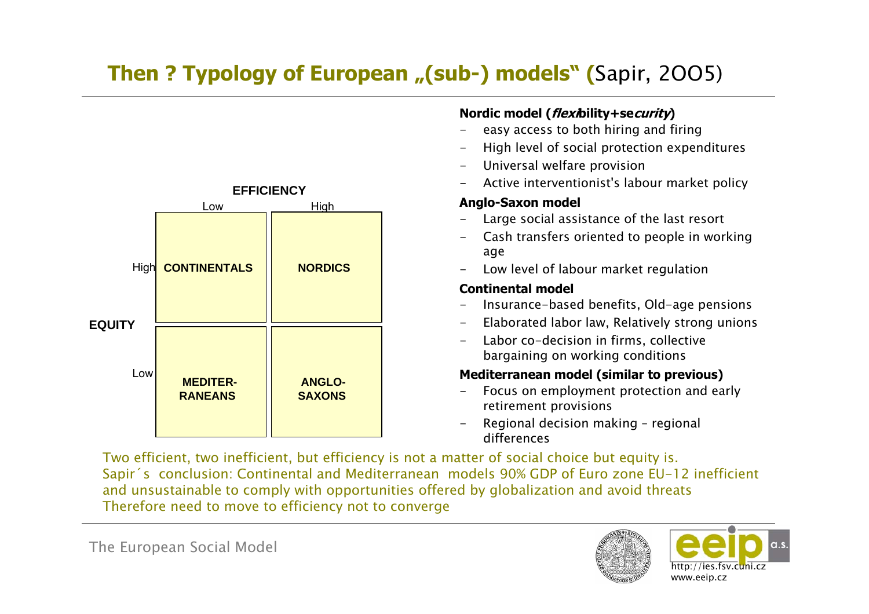## **Then ? Typology of European "(sub-) models" (**Sapir, 2OO5)



#### **Nordic model (flexibility+security)**

- easy access to both hiring and firing
- High level of social protection expenditures
- Universal welfare provision
- Active interventionist's labour market policy

#### **Anglo-Saxon model**

- Large social assistance of the last resort
- Cash transfers oriented to people in working age
- Low level of labour market regulation

#### **Continental model**

- Insurance-based benefits, Old-age pensions
- Elaborated labor law, Relatively strong unions
- Labor co-decision in firms, collective bargaining on working conditions

#### **Mediterranean model (similar to previous)**

- Focus on employment protection and early retirement provisions
- Regional decision making regional differences

Two efficient, two inefficient, but efficiency is not a matter of social choice but equity is. Sapir´s conclusion: Continental and Mediterranean models 90% GDP of Euro zone EU-12 inefficient and unsustainable to comply with opportunities offered by globalization and avoid threats Therefore need to move to efficiency not to converge

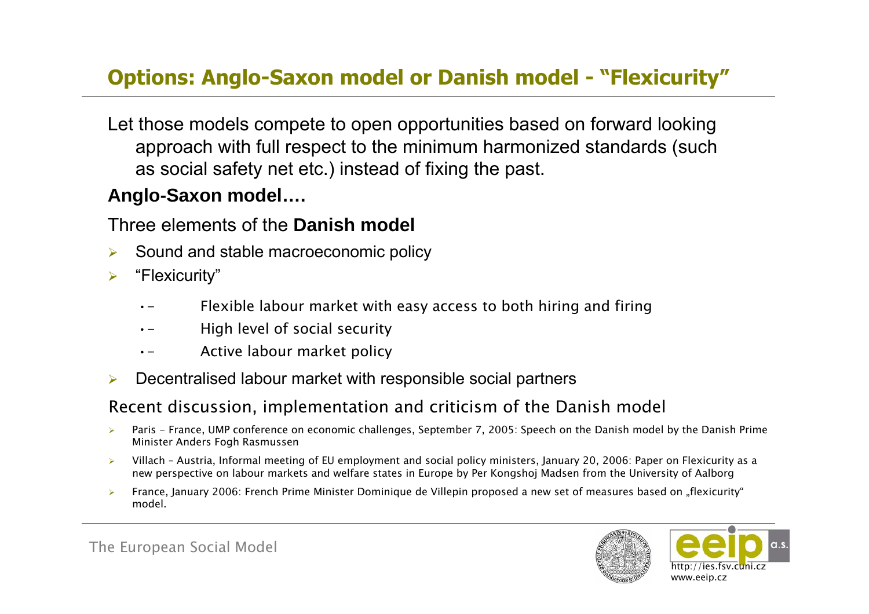## **Options: Anglo-Saxon model or Danish model - "Flexicurity"**

Let those models compete to open opportunities based on forward looking approach with full respect to the minimum harmonized standards (such as social safety net etc.) instead of fixing the past.

## **Anglo-Saxon model….**

## Three elements of the **Danish model**

- ¾Sound and stable macroeconomic policy
- ¾ "Flexicurity"
	- •-Flexible labour market with easy access to both hiring and firing
	- •-High level of social security
	- •-Active labour market policy
- $\blacktriangleright$ Decentralised labour market with responsible social partners

### Recent discussion, implementation and criticism of the Danish model

- $\blacktriangleright$  Paris - France, UMP conference on economic challenges, September 7, 2005: Speech on the Danish model by the Danish Prime Minister Anders Fogh Rasmussen
- $\blacktriangleright$  Villach – Austria, Informal meeting of EU employment and social policy ministers, January 20, 2006: Paper on Flexicurity as a new perspective on labour markets and welfare states in Europe by Per Kongshoj Madsen from the University of Aalborg
- $\blacktriangleright$ France, January 2006: French Prime Minister Dominique de Villepin proposed a new set of measures based on "flexicurity" model.

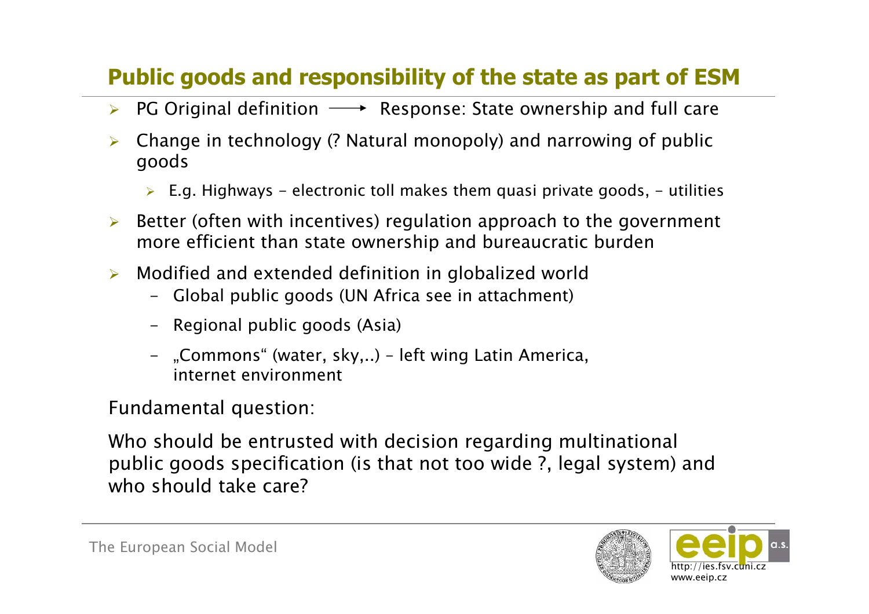# **Public goods and responsibility of the state as part of ESM**

- $\blacktriangleright$ PG Original definition  $\longrightarrow$  Response: State ownership and full care
- $\blacktriangleright$  Change in technology (? Natural monopoly) and narrowing of public goods
	- $\triangleright$  E.g. Highways electronic toll makes them quasi private goods, utilities
- ¾ Better (often with incentives) regulation approach to the government more efficient than state ownership and bureaucratic burden
- $\blacktriangleright$  Modified and extended definition in globalized world
	- Global public goods (UN Africa see in attachment)
	- Regional public goods (Asia)
	- "Commons" (water, sky,..) left wing Latin America, internet environment

## Fundamental question:

Who should be entrusted with decision regarding multinational public goods specification (is that not too wide ?, legal system) and who should take care?

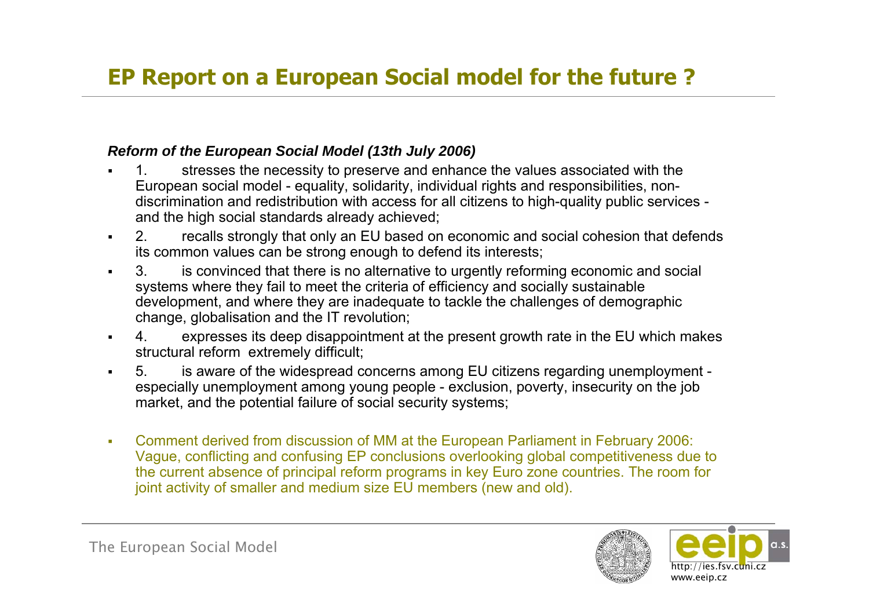#### *Reform of the European Social Model (13th July 2006)*

- ٠ stresses the necessity to preserve and enhance the values associated with the European social model - equality, solidarity, individual rights and responsibilities, nondiscrimination and redistribution with access for all citizens to high-quality public services and the high social standards already achieved;
- $\blacksquare$  2. recalls strongly that only an EU based on economic and social cohesion that defends its common values can be strong enough to defend its interests;
- $\blacksquare$  3. is convinced that there is no alternative to urgently reforming economic and social systems where they fail to meet the criteria of efficiency and socially sustainable development, and where they are inadequate to tackle the challenges of demographic change, globalisation and the IT revolution;
- $\blacksquare$  4. expresses its deep disappointment at the present growth rate in the EU which makes structural reform extremely difficult;
- $\blacksquare$  5. is aware of the widespread concerns among EU citizens regarding unemployment especially unemployment among young people - exclusion, poverty, insecurity on the job market, and the potential failure of social security systems;
- $\bar{\phantom{a}}$  Comment derived from discussion of MM at the European Parliament in February 2006: Vague, conflicting and confusing EP conclusions overlooking global competitiveness due to the current absence of principal reform programs in key Euro zone countries. The room for joint activity of smaller and medium size EU members (new and old).

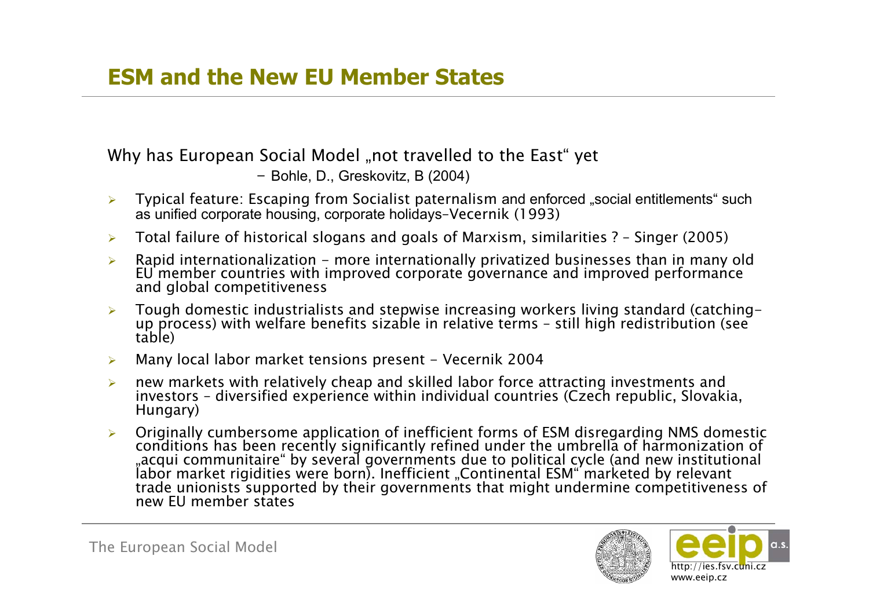Why has European Social Model "not travelled to the East" yet

- Bohle, D., Greskovitz, B (2004)

- $\blacktriangleright$ Typical feature: Escaping from Socialist paternalism and enforced "social entitlements" such as unified corporate housing, corporate holidays–Vecernik (1993)
- $\blacktriangleright$ Total failure of historical slogans and goals of Marxism, similarities ? – Singer (2005)
- $\blacktriangleright$  Rapid internationalization - more internationally privatized businesses than in many old EU member countries with improved corporate governance and improved performance and global competitiveness
- $\blacktriangleright$  Tough domestic industrialists and stepwise increasing workers living standard (catching- up process) with welfare benefits sizable in relative terms – still high redistribution (see table)
- $\blacktriangleright$ Many local labor market tensions present - Vecernik 2004
- ¾ new markets with relatively cheap and skilled labor force attracting investments and investors – diversified experience within individual countries (Czech republic, Slovakia, Hungary)
- $\blacktriangleright$  Originally cumbersome application of inefficient forms of ESM disregarding NMS domestic conditions has been recently significantly refined under the umbrella of harmonization of "acqui communitaire" by several governments due to political cycle (and new institutional<br>labor market rigidities were born). Inefficient "Continental ESM" marketed by relevant trade unionists supported by their governments that might undermine competitiveness of new EU member states

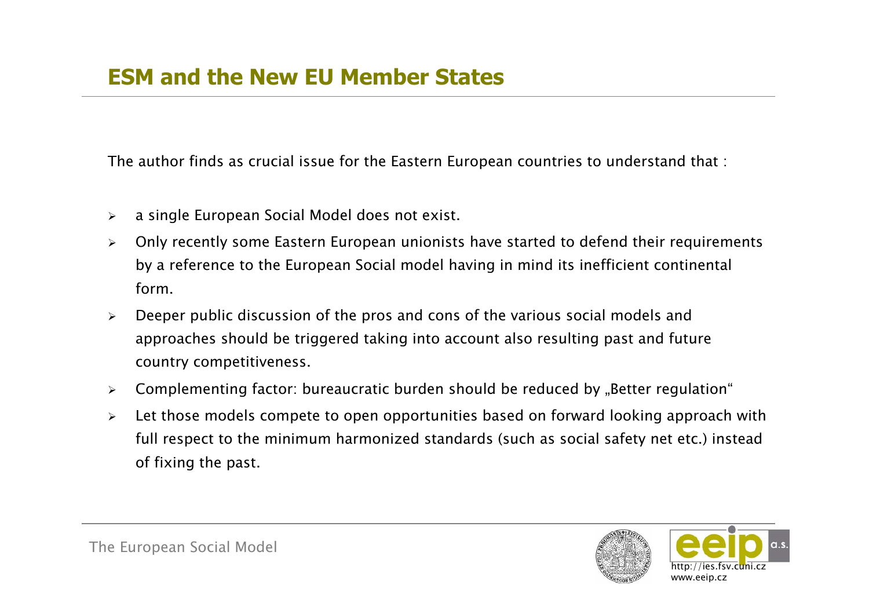The author finds as crucial issue for the Eastern European countries to understand that :

- $\blacktriangleright$ <sup>a</sup> single European Social Model does not exist.
- $\blacktriangleright$  Only recently some Eastern European unionists have started to defend their requirements by a reference to the European Social model having in mind its inefficient continental form.
- $\blacktriangleright$  Deeper public discussion of the pros and cons of the various social models and approaches should be triggered taking into account also resulting past and future country competitiveness.
- $\blacktriangleright$ Complementing factor: bureaucratic burden should be reduced by "Better regulation"
- $\blacktriangleright$  Let those models compete to open opportunities based on forward looking approach with full respect to the minimum harmonized standards (such as social safety net etc.) instead of fixing the past.

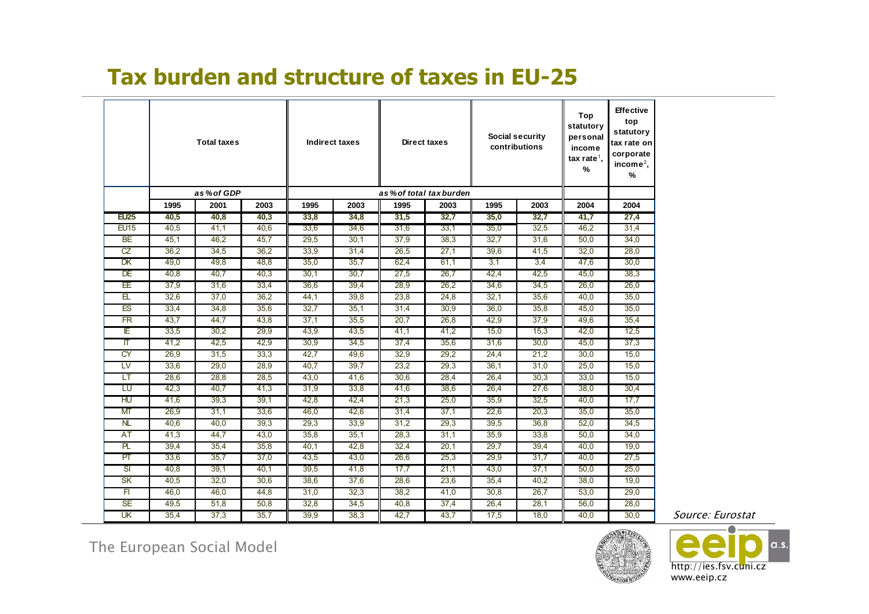## **Tax burden and structure of taxes in EU-25**

|                         | <b>Total taxes</b> |            |      | Indirect taxes           |      | <b>Direct taxes</b> |      | Social security<br>contributions |      | Top<br>statutory<br>personal<br>income<br>tax rate <sup>1</sup> ,<br>% | <b>Effective</b><br>top<br>statutory<br>tax rate on<br>corporate<br>income <sup>2</sup> ,<br>$\frac{9}{6}$ |
|-------------------------|--------------------|------------|------|--------------------------|------|---------------------|------|----------------------------------|------|------------------------------------------------------------------------|------------------------------------------------------------------------------------------------------------|
|                         |                    | as% of GDP |      | as % of total tax burden |      |                     |      |                                  |      |                                                                        |                                                                                                            |
|                         | 1995               | 2001       | 2003 | 1995                     | 2003 | 1995                | 2003 | 1995                             | 2003 | 2004                                                                   | 2004                                                                                                       |
| <b>EU25</b>             | 40,5               | 40,8       | 40,3 | 33,8                     | 34,8 | 31,5                | 32,7 | 35,0                             | 32,7 | 41,7                                                                   | 27,4                                                                                                       |
| <b>EU15</b>             | 40,5               | 41,1       | 40,6 | 33,6                     | 34,6 | 31,6                | 33.1 | 35,0                             | 32,5 | 46,2                                                                   | 31,4                                                                                                       |
| <b>BE</b>               | 45,1               | 46,2       | 45,7 | 29,5                     | 30,1 | 37,9                | 38,3 | 32,7                             | 31,6 | 50,0                                                                   | 34,0                                                                                                       |
| <b>CZ</b>               | 36,2               | 34,5       | 36,2 | 33,9                     | 31,4 | 26,5                | 27,1 | 39,6                             | 41.5 | 32,0                                                                   | 28.0                                                                                                       |
| DK                      | 49.0               | 49.8       | 48.8 | 35.0                     | 35.7 | 62.4                | 61,1 | 3,1                              | 3,4  | 47,6                                                                   | 30.0                                                                                                       |
| DE                      | 40,8               | 40,7       | 40,3 | 30,1                     | 30.7 | 27,5                | 26,7 | 42,4                             | 42,5 | 45,0                                                                   | 38,3                                                                                                       |
| ΕE                      | 37,9               | 31,6       | 33,4 | 36,6                     | 39,4 | 28,9                | 26,2 | 34,6                             | 34,5 | 26,0                                                                   | 26,0                                                                                                       |
| EL                      | 32,6               | 37,0       | 36,2 | 44,1                     | 39.8 | 23,8                | 24,8 | 32,1                             | 35,6 | 40.0                                                                   | 35,0                                                                                                       |
| ES                      | 33,4               | 34,8       | 35,6 | 32,7                     | 35,1 | 31,4                | 30.9 | 36,0                             | 35,8 | 45,0                                                                   | 35,0                                                                                                       |
| $\overline{\text{FR}}$  | 43,7               | 44.7       | 43,8 | 37,1                     | 35,5 | 20,7                | 26,8 | 42,9                             | 37,9 | 49,6                                                                   | 35,4                                                                                                       |
| Έ                       | 33,5               | 30,2       | 29,9 | 43,9                     | 43,5 | 41,1                | 41,2 | 15,0                             | 15,3 | 42,0                                                                   | 12,5                                                                                                       |
| $\overline{\mathbb{T}}$ | 41,2               | 42,5       | 42,9 | 30.9                     | 34,5 | 37,4                | 35,6 | 31,6                             | 30,0 | 45,0                                                                   | 37,3                                                                                                       |
| CY                      | 26.9               | 31,5       | 33,3 | 42,7                     | 49.6 | 32,9                | 29,2 | 24,4                             | 21,2 | 30,0                                                                   | 15,0                                                                                                       |
| LV.                     | 33,6               | 29,0       | 28,9 | 40.7                     | 39.7 | 23,2                | 29.3 | 36,1                             | 31.0 | 25,0                                                                   | 15,0                                                                                                       |
| LT                      | 28,6               | 28.8       | 28,5 | 43.0                     | 41.6 | 30.6                | 28.4 | 26.4                             | 30.3 | 33,0                                                                   | 15,0                                                                                                       |
| LU                      | 42.3               | 40.7       | 41,3 | 31,9                     | 33.8 | 41.6                | 38,6 | 26,4                             | 27,6 | 38,0                                                                   | 30,4                                                                                                       |
| HU                      | 41,6               | 39,3       | 39,1 | 42,8                     | 42,4 | 21,3                | 25,0 | 35,9                             | 32,5 | 40,0                                                                   | 17,7                                                                                                       |
| МT                      | 26,9               | 31,1       | 33,6 | 46,0                     | 42,6 | 31,4                | 37,1 | 22,6                             | 20,3 | 35,0                                                                   | 35,0                                                                                                       |
| $\overline{\mathsf{N}}$ | 40,6               | 40,0       | 39.3 | 29,3                     | 33,9 | 31,2                | 29,3 | 39,5                             | 36,8 | 52,0                                                                   | 34,5                                                                                                       |
| AT                      | 41,3               | 44,7       | 43,0 | 35,8                     | 35,1 | 28,3                | 31,1 | 35,9                             | 33,8 | 50,0                                                                   | 34,0                                                                                                       |
| PL                      | 39,4               | 35,4       | 35,8 | 40.1                     | 42.8 | 32,4                | 20.1 | 29.7                             | 39,4 | 40.0                                                                   | 19,0                                                                                                       |
| PT                      | 33,6               | 35.7       | 37.0 | 43.5                     | 43.0 | 26.6                | 25.3 | 29.9                             | 31.7 | 40.0                                                                   | 27.5                                                                                                       |
| SI                      | 40,8               | 39,1       | 40,1 | 39,5                     | 41,8 | 17,7                | 21,1 | 43,0                             | 37,1 | 50,0                                                                   | 25,0                                                                                                       |
| SK                      | 40,5               | 32,0       | 30,6 | 38,6                     | 37,6 | 28,6                | 23,6 | 35,4                             | 40,2 | 38,0                                                                   | 19,0                                                                                                       |
| FI.                     | 46,0               | 46,0       | 44,8 | 31,0                     | 32,3 | 38,2                | 41.0 | 30.8                             | 26.7 | 53,0                                                                   | 29,0                                                                                                       |
| <b>SE</b>               | 49,5               | 51,8       | 50,8 | 32,8                     | 34,5 | 40.8                | 37,4 | 26,4                             | 28,1 | 56,0                                                                   | 28,0                                                                                                       |
| UK                      | 35.4               | 37,3       | 35,7 | 39.9                     | 38.3 | 42.7                | 43,7 | 17,5                             | 18.0 | 40.0                                                                   | 30.0                                                                                                       |

The European Social Model



 $a.s$ http://ies.fsv.cuni.cz www.eeip.cz

Source: Eurostat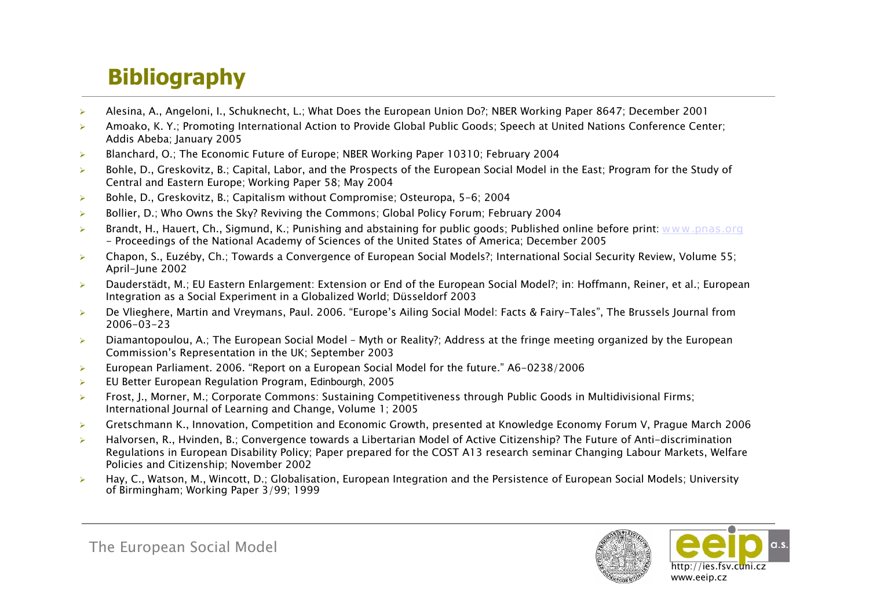# **Bibliography**

- ¾Alesina, A., Angeloni, I., Schuknecht, L.; What Does the European Union Do?; NBER Working Paper 8647; December 2001
- ¾ Amoako, K. Y.; Promoting International Action to Provide Global Public Goods; Speech at United Nations Conference Center; Addis Abeba; January 2005
- ¾Blanchard, O.; The Economic Future of Europe; NBER Working Paper 10310; February 2004
- $\blacktriangleright$  Bohle, D., Greskovitz, B.; Capital, Labor, and the Prospects of the European Social Model in the East; Program for the Study of Central and Eastern Europe; Working Paper 58; May 2004
- ¾Bohle, D., Greskovitz, B.; Capitalism without Compromise; Osteuropa, 5-6; 2004
- $\blacktriangleright$ Bollier, D.; Who Owns the Sky? Reviving the Commons; Global Policy Forum; February 2004
- $\blacktriangleright$  Brandt, H., Hauert, Ch., Sigmund, K.; Punishing and abstaining for public goods; Published online before print: [www.pnas.org](http://www.pnas.org/) - Proceedings of the National Academy of Sciences of the United States of America; December 2005
- $\blacktriangleright$  Chapon, S., Euzéby, Ch.; Towards a Convergence of European Social Models?; International Social Security Review, Volume 55; April-June 2002
- $\blacktriangleright$  Dauderstädt, M.; EU Eastern Enlargement: Extension or End of the European Social Model?; in: Hoffmann, Reiner, et al.; European Integration as a Social Experiment in a Globalized World; Düsseldorf 2003
- $\blacktriangleright$  De Vlieghere, Martin and Vreymans, Paul. 2006. "Europe's Ailing Social Model: Facts & Fairy-Tales", The Brussels Journal from 2006-03-23
- $\blacktriangleright$  Diamantopoulou, A.; The European Social Model – Myth or Reality?; Address at the fringe meeting organized by the European Commission's Representation in the UK; September 2003
- ¾European Parliament. 2006. "Report on a European Social Model for the future." A6-0238/2006
- ¾EU Better European Regulation Program, Edinbourgh, 2005
- $\blacktriangleright$  Frost, J., Morner, M.; Corporate Commons: Sustaining Competitiveness through Public Goods in Multidivisional Firms; International Journal of Learning and Change, Volume 1; 2005
- $\blacktriangleright$ Gretschmann K., Innovation, Competition and Economic Growth, presented at Knowledge Economy Forum V, Prague March 2006
- $\blacktriangleright$  Halvorsen, R., Hvinden, B.; Convergence towards a Libertarian Model of Active Citizenship? The Future of Anti-discrimination Regulations in European Disability Policy; Paper prepared for the COST A13 research seminar Changing Labour Markets, Welfare Policies and Citizenship; November 2002
- ¾ Hay, C., Watson, M., Wincott, D.; Globalisation, European Integration and the Persistence of European Social Models; University of Birmingham; Working Paper 3/99; 1999

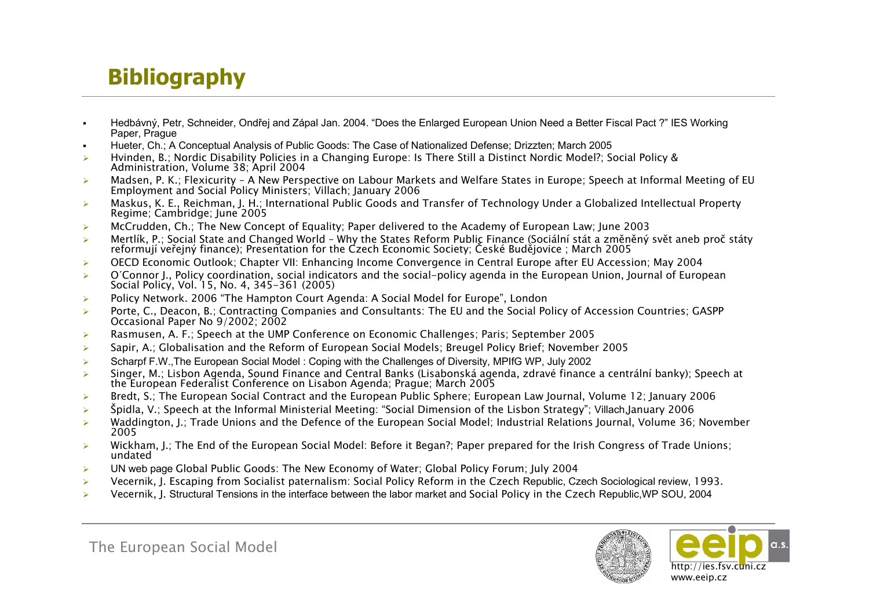# **Bibliography**

- г Hedbávný, Petr, Schneider, Ondřej and Zápal Jan. 2004. "Does the Enlarged European Union Need a Better Fiscal Pact ?" IES Working Paper, Prague
- г Hueter, Ch.; A Conceptual Analysis of Public Goods: The Case of Nationalized Defense; Drizzten; March 2005
- ¾Hvinden, B.; Nordic Disability Policies in a Changing Europe: Is There Still a Distinct Nordic Model?; Social Policy &<br>Administration, Volume 38; April 2004
- ¾Madsen, P. K.; Flexicurity - A New Perspective on Labour Markets and Welfare States in Europe; Speech at Informal Meeting of EU<br>Employment and Social Policy Ministers; Villach; January 2006
- $\blacktriangleright$  Maskus, K. E., Reichman, J. H.; International Public Goods and Transfer of Technology Under a Globalized Intellectual Property Regime; Cambridge; June 2005
- ¾McCrudden, Ch.; The New Concept of Equality; Paper delivered to the Academy of European Law; June 2003
- ¾Mertlík, P.; Social State and Changed World - Why the States Reform Public Finance (Sociální stát a změněný svět aneb proč státy<br>reformují veřejný finance): Presentation for the Czech Economic Society: České Budějovice : M
- $\blacktriangleright$ OECD Economic Outlook; Chapter VII: Enhancing Income Convergence in Central Europe after EU Accession; May 2004
- $\blacktriangleright$  O´Connor J., Policy coordination, social indicators and the social-policy agenda in the European Union, Journal of European Social Policy, Vol. 15, No. 4, 345-361 (2005)
- $\blacktriangleright$ Policy Network. 2006 "The Hampton Court Agenda: A Social Model for Europe", London
- ¾ Porte, C., Deacon, B.; Contracting Companies and Consultants: The EU and the Social Policy of Accession Countries; GASPP Occasional Paper No 9/2002; 2002
- ¾Rasmusen, A. F.; Speech at the UMP Conference on Economic Challenges; Paris; September 2005
- $\blacktriangleright$ Sapir, A.; Globalisation and the Reform of European Social Models; Breugel Policy Brief; November 2005
- $\blacktriangleright$ Scharpf F.W.,The European Social Model : Coping with the Challenges of Diversity, MPIfG WP, July 2002
- $\blacktriangleright$  Singer, M.; Lisbon Agenda, Sound Finance and Central Banks (Lisabonská agenda, zdravé finance a centrální banky); Speech at the European Federalist Conference on Lisabon Agenda; Prague; March 2005
- ¾Bredt, S.; The European Social Contract and the European Public Sphere; European Law Journal, Volume 12; January 2006
- $\blacktriangleright$ Špidla, V.; Speech at the Informal Ministerial Meeting: "Social Dimension of the Lisbon Strategy"; Villach,January 2006
- $\blacktriangleright$  Waddington, J.; Trade Unions and the Defence of the European Social Model; Industrial Relations Journal, Volume 36; November 2005
- ¾Wickham, J.; The End of the European Social Model: Before it Began?; Paper prepared for the Irish Congress of Trade Unions;<br>undated
- ¾UN web page Global Public Goods: The New Economy of Water; Global Policy Forum; July 2004
- ¾Vecernik, J. Escaping from Socialist paternalism: Social Policy Reform in the Czech Republic, Czech Sociological review, 1993.
- ¾Vecernik, J. Structural Tensions in the interface between the labor market and Social Policy in the Czech Republic,WP SOU, 2004

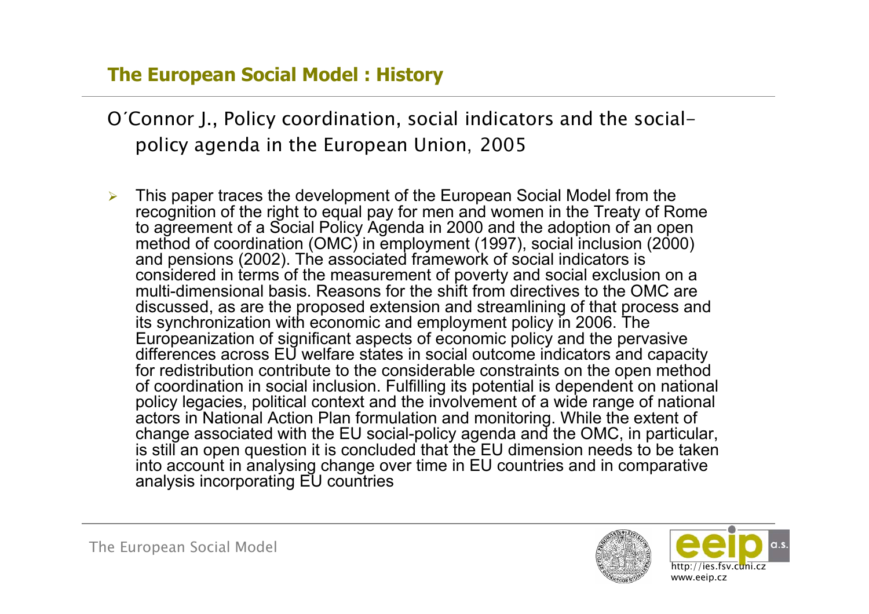## **The European Social Model : History**

O´Connor J., Policy coordination, social indicators and the socialpolicy agenda in the European Union, 2005

¾ This paper traces the development of the European Social Model from the recognition of the right to equal pay for men and women in the Treaty of Rome to agreement of a Social Policy Agenda in 2000 and the adoption of an open method of coordination (OMC) in employment (1997), social inclusion (2000) and pensions (2002). The associated framework of social indicators is considered in terms of the measurement of poverty and social exclusion on a multi-dimensional basis. Reasons for the shift from directives to the OMC are discussed, as are the proposed extension and streamlining of that process and its synchronization with economic and employment policy in 2006. The Europeanization of significant aspects of economic policy and the pervasive differences across EU welfare states in social outcome indicators and capacity for redistribution contribute to the considerable constraints on the open method of coordination in social inclusion. Fulfilling its potential is dependent on national policy legacies, political context and the involvement of a wide range of national actors in National Action Plan formulation and monitoring. While the extent of change associated with the EU social-policy agenda and the OMC, in particular, is still an open question it is concluded that the EU dimension needs to be taken into account in analysing change over time in EU countries and in comparative analysis incorporating EU countries

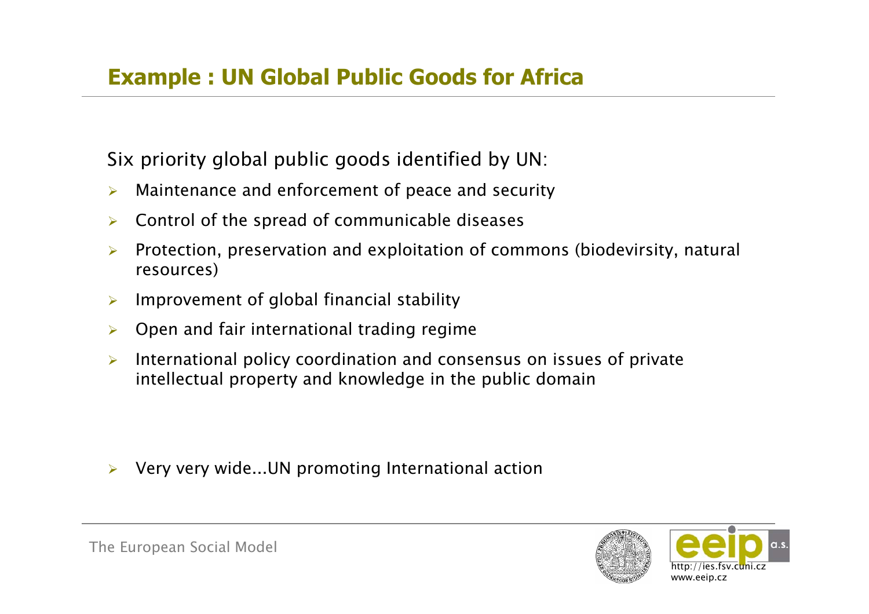Six priority global public goods identified by UN:

- $\blacktriangleright$ Maintenance and enforcement of peace and security
- $\blacktriangleright$ Control of the spread of communicable diseases
- $\blacktriangleright$  Protection, preservation and exploitation of commons (biodevirsity, natural resources)
- ¾Improvement of global financial stability
- $\blacktriangleright$ Open and fair international trading regime
- $\blacktriangleright$  International policy coordination and consensus on issues of private intellectual property and knowledge in the public domain

¾Very very wide...UN promoting International action